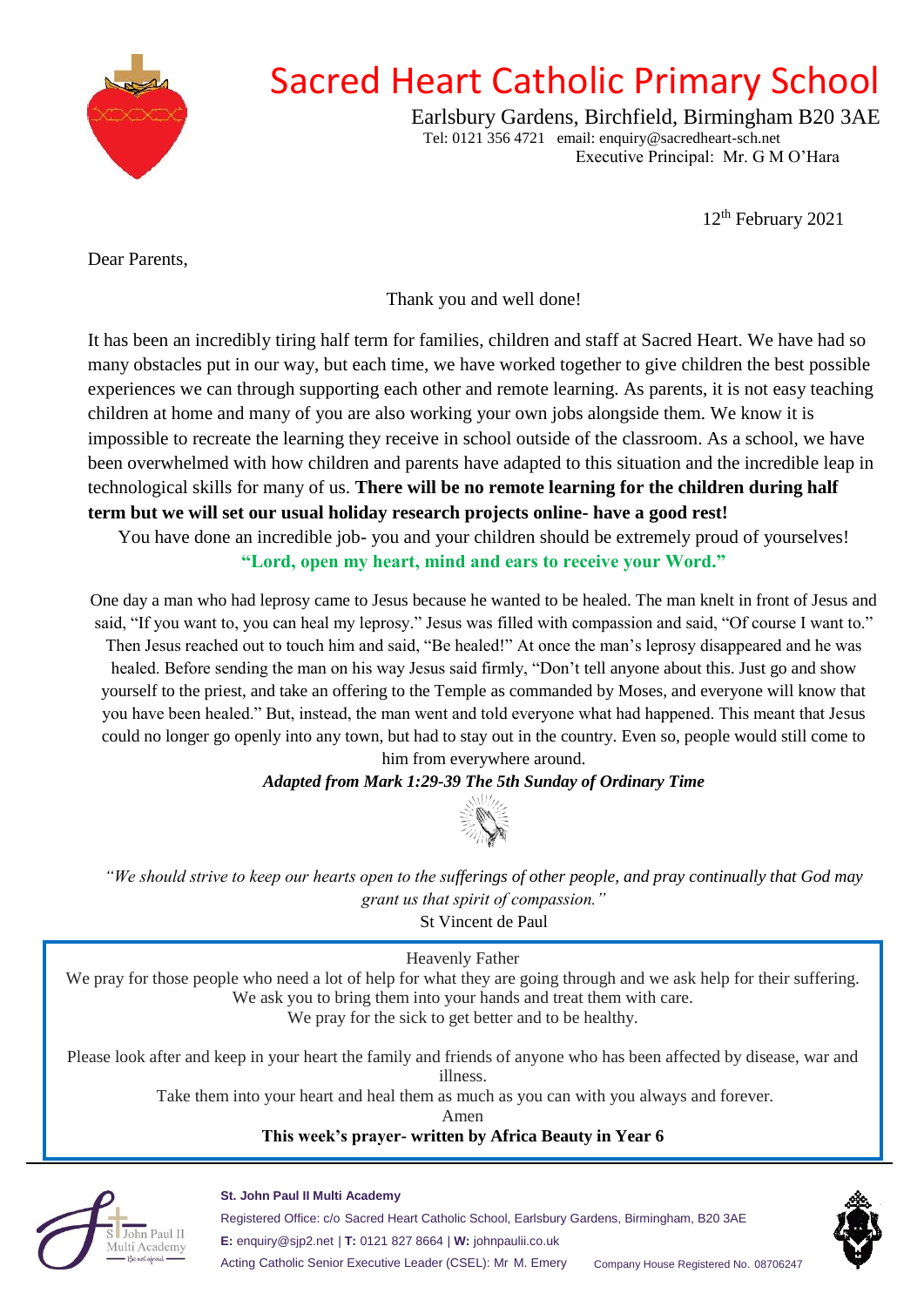

# Sacred Heart Catholic Primary School

Earlsbury Gardens, Birchfield, Birmingham B20 3AE Tel: 0121 356 4721 email: enquiry@sacredheart-sch.net Executive Principal: Mr. G M O'Hara

12th February 2021

<span id="page-0-0"></span>Dear Parents,

Thank you and well done!

It has been an incredibly tiring half term for families, children and staff at Sacred Heart. We have had so many obstacles put in our way, but each time, we have worked together to give children the best possible experiences we can through supporting each other and remote learning. As parents, it is not easy teaching children at home and many of you are also working your own jobs alongside them. We know it is impossible to recreate the learning they receive in school outside of the classroom. As a school, we have been overwhelmed with how children and parents have adapted to this situation and the incredible leap in technological skills for many of us. **There will be no remote learning for the children during half term but we will set our usual holiday research projects online- have a good rest!**

You have done an incredible job- you and your children should be extremely proud of yourselves! **"Lord, open my heart, mind and ears to receive your Word."**

One day a man who had leprosy came to Jesus because he wanted to be healed. The man knelt in front of Jesus and said, "If you want to, you can heal my leprosy." Jesus was filled with compassion and said, "Of course I want to."

Then Jesus reached out to touch him and said, "Be healed!" At once the man's leprosy disappeared and he was healed. Before sending the man on his way Jesus said firmly, "Don't tell anyone about this. Just go and show yourself to the priest, and take an offering to the Temple as commanded by Moses, and everyone will know that you have been healed." But, instead, the man went and told everyone what had happened. This meant that Jesus could no longer go openly into any town, but had to stay out in the country. Even so, people would still come to him from everywhere around.

## *Adapted from Mark 1:29-39 The 5th Sunday of Ordinary Time*



*"We should strive to keep our hearts open to the sufferings of other people, and pray continually that God may grant us that spirit of compassion."* 

St Vincent de Paul

Heavenly Father We pray for those people who need a lot of help for what they are going through and we ask help for their suffering. We ask you to bring them into your hands and treat them with care. We pray for the sick to get better and to be healthy.

Please look after and keep in your heart the family and friends of anyone who has been affected by disease, war and illness.

Take them into your heart and heal them as much as you can with you always and forever.

Amen

## **This week's prayer- written by Africa Beauty in Year 6**



**St. John Paul II Multi Academy**

Registered Office: c/o Sacred Heart Catholic School, Earlsbury Gardens, Birmingham, B20 3AE **E:** enquiry@sjp2.net | **T:** 0121 827 8664 | **W:** johnpaulii.co.uk Acting Catholic Senior Executive Leader (CSEL): Mr M. Emery Company House Registered No. 08706247

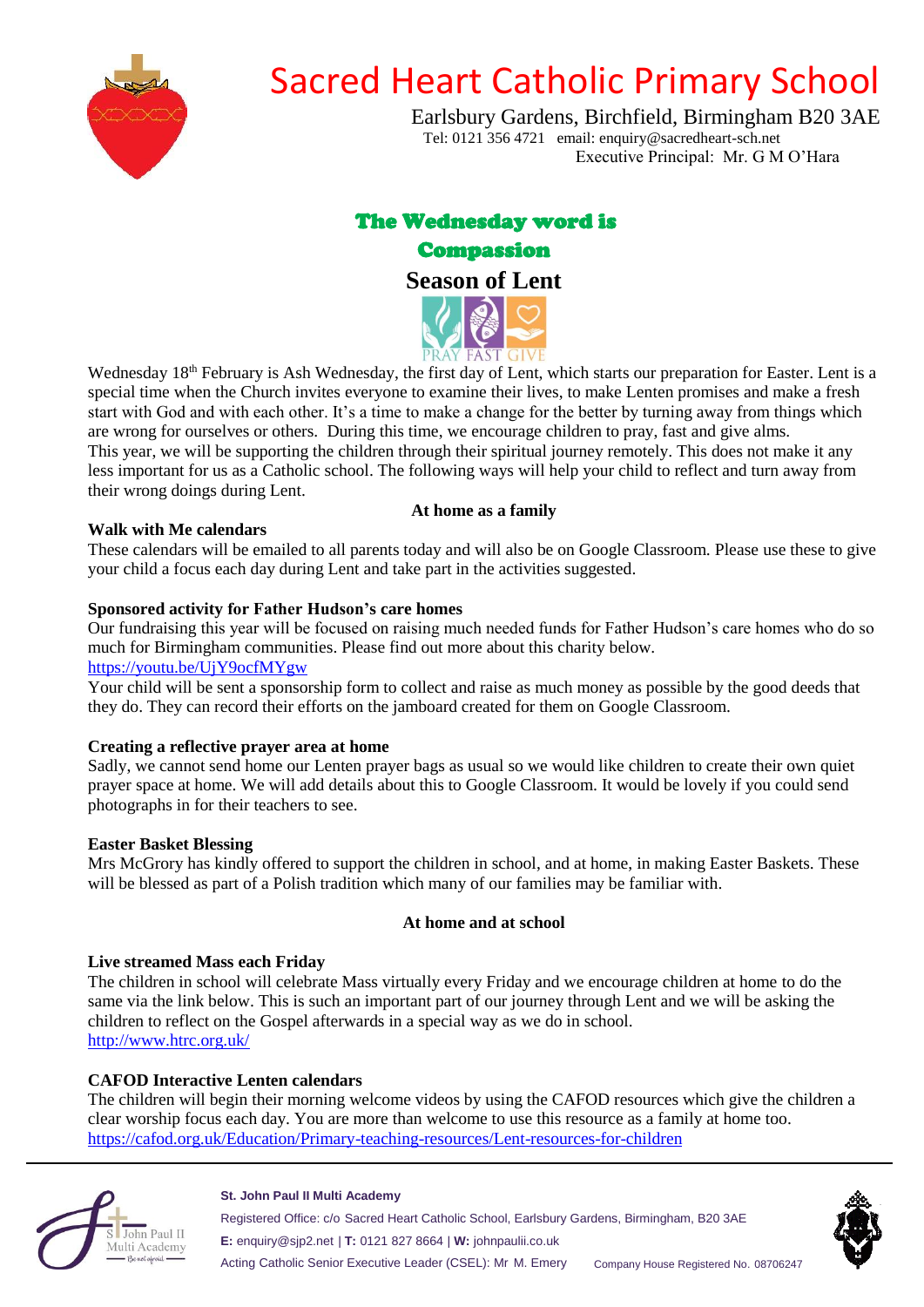

# Sacred Heart Catholic Primary School

Earlsbury Gardens, Birchfield, Birmingham B20 3AE Tel: 0121 356 4721 email: enquiry@sacredheart-sch.net Executive Principal: Mr. G M O'Hara

# The Wednesday word is



**Season of Lent**



Wednesday 18<sup>th</sup> February is Ash Wednesday, the first day of Lent, which starts our preparation for Easter. Lent is a special time when the Church invites everyone to examine their lives, to make Lenten promises and make a fresh start with God and with each other. It's a time to make a change for the better by turning away from things which are wrong for ourselves or others. During this time, we encourage children to pray, fast and give alms. This year, we will be supporting the children through their spiritual journey remotely. This does not make it any less important for us as a Catholic school. The following ways will help your child to reflect and turn away from their wrong doings during Lent. **At home as a family**

#### **Walk with Me calendars**

These calendars will be emailed to all parents today and will also be on Google Classroom. Please use these to give your child a focus each day during Lent and take part in the activities suggested.

#### **Sponsored activity for Father Hudson's care homes**

Our fundraising this year will be focused on raising much needed funds for Father Hudson's care homes who do so much for Birmingham communities. Please find out more about this charity below. [https://youtu.be/UjY9ocfMYgw](#page-0-0)

Your child will be sent a sponsorship form to collect and raise as much money as possible by the good deeds that they do. They can record their efforts on the jamboard created for them on Google Classroom.

#### **Creating a reflective prayer area at home**

Sadly, we cannot send home our Lenten prayer bags as usual so we would like children to create their own quiet prayer space at home. We will add details about this to Google Classroom. It would be lovely if you could send photographs in for their teachers to see.

#### **Easter Basket Blessing**

Mrs McGrory has kindly offered to support the children in school, and at home, in making Easter Baskets. These will be blessed as part of a Polish tradition which many of our families may be familiar with.

#### **At home and at school**

#### **Live streamed Mass each Friday**

The children in school will celebrate Mass virtually every Friday and we encourage children at home to do the same via the link below. This is such an important part of our journey through Lent and we will be asking the children to reflect on the Gospel afterwards in a special way as we do in school. [http://www.htrc.org.uk/](#page-0-0)

## **CAFOD Interactive Lenten calendars**

The children will begin their morning welcome videos by using the CAFOD resources which give the children a clear worship focus each day. You are more than welcome to use this resource as a family at home too. [https://cafod.org.uk/Education/Primary-teaching-resources/Lent-resources-for-children](#page-0-0)



#### **St. John Paul II Multi Academy**

Registered Office: c/o Sacred Heart Catholic School, Earlsbury Gardens, Birmingham, B20 3AE **E:** enquiry@sjp2.net | **T:** 0121 827 8664 | **W:** johnpaulii.co.uk Acting Catholic Senior Executive Leader (CSEL): Mr M. Emery Company House Registered No. 08706247